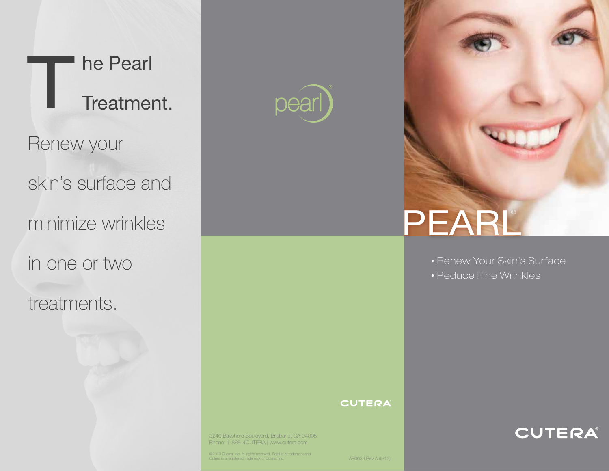



# PEARL®

• Renew Your Skin's Surface

CUTERA

• Reduce Fine Wrinkles

#### **CUTERA**

3240 Bayshore Boulevard, Brisbane, CA 94005 Phone: 1-888-4CUTERA | www.cutera.com

©2013 Cutera, Inc. All rights reserved. Pearl is a trademark and